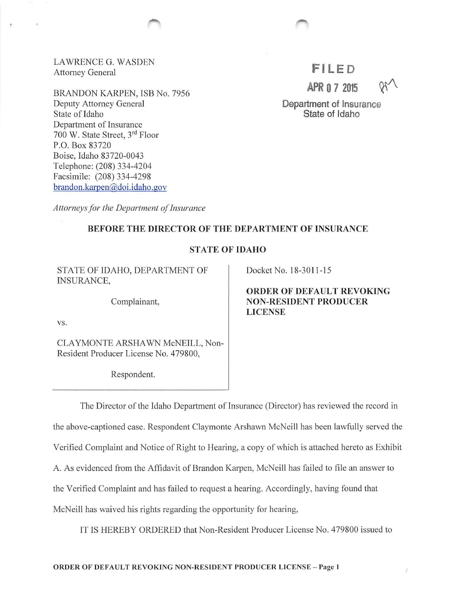LAWRENCE G. WASDEN Attorney General

BRANDON KARPEN, ISB No. 7956 Deputy Attorney General State of Idaho Department of Insurance 700 W. State Street, 3rd Floor P.O. Box 83720 Boise, Idaho 83720-0043 Telephone: (208) 334-4204 Facsimile: (208) 334-4298 brandon.karpen@.doi.idaho.gov

# **FILED APR 0 7 2015** r

Department of Insurance State of Idaho

*Attorneys for the Department of insurance* 

## BEFORE THE DIRECTOR OF THE DEPARTMENT OF INSURANCE

## STATE OF IDAHO

STATE OF IDAHO, DEPARTMENT OF INSURANCE,

Complainant,

VS.

CLA YMONTE ARSHA WN McNEILL, Non-Resident Producer License No. 479800,

Respondent.

Docket No. 18-3011-15

ORDER OF DEFAULT REVOKING NON-RESIDENT PRODUCER LICENSE

The Director of the Idaho Department of Insurance (Director) has reviewed the record in the above-captioned case. Respondent Claymonte Arshawn McNeill has been lawfully served the Verified Complaint and Notice of Right to Hearing, a copy of which is attached hereto as Exhibit A. As evidenced from the Affidavit of Brandon Karpen, McNeill has failed to file an answer to the Verified Complaint and has failed to request a hearing. Accordingly, having found that McNeil! has waived his rights regarding the opportunity for hearing,

IT IS HEREBY ORDERED that Non-Resident Producer License No. 479800 issued to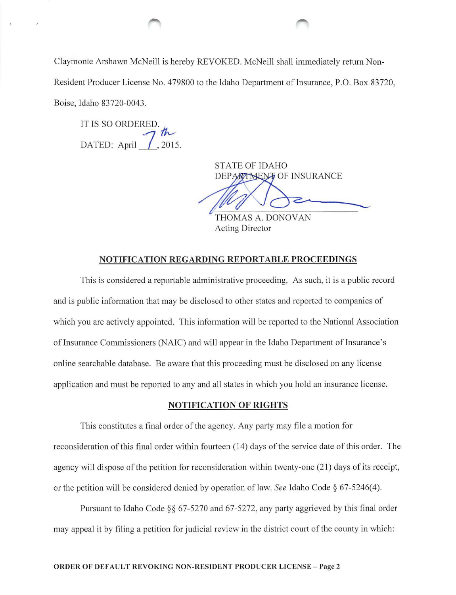Claymonte Arshawn McNeil! is hereby REVOKED. McNeill shall immediately return Non-Resident Producer License No. 479800 to the Idaho Department of Insurance, P.O. Box 83720, Boise, Idaho 83720-0043.

IT IS SO ORDERED. DATED: April  $\frac{7}{1}$ , 2015.

STATE OF IDAHO DEPARTMENT OF INSURANCE

THOMAS A. DONOVAN Acting Director

## NOTIFICATION REGARDING REPORTABLE PROCEEDINGS

This is considered a reportable administrative proceeding. As such, it is a public record and is public information that may be disclosed to other states and reported to companies of which you are actively appointed. This information will be reported to the National Association of Insurance Commissioners (NAIC) and will appear in the Idaho Department of Insurance's online searchable database. Be aware that this proceeding must be disclosed on any license application and must be reported to any and all states in which you hold an insurance license.

## NOTIFICATION OF RIGHTS

This constitutes a final order of the agency. Any party may file a motion for reconsideration of this final order within fourteen (14) days of the service date of this order. The agency will dispose of the petition for reconsideration within twenty-one (21) days of its receipt, or the petition will be considered denied by operation of law. *See* Idaho Code§ 67-5246( 4).

Pursuant to Idaho Code§§ 67-5270 and 67-5272, any party aggrieved by this final order may appeal it by filing a petition for judicial review in the district court of the county in which: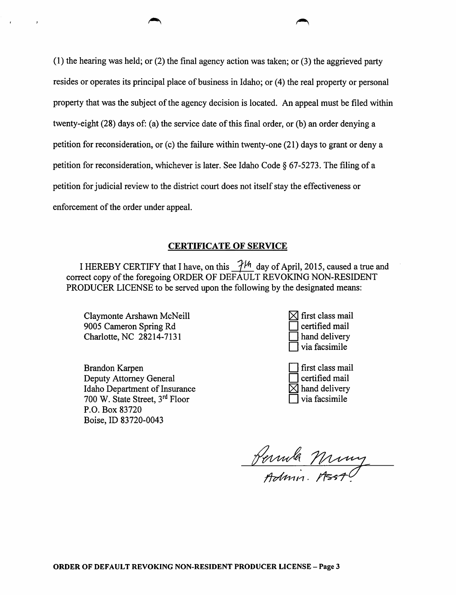(1) the hearing was held; or (2) the final agency action was taken; or (3) the aggrieved party resides or operates its principal place of business in Idaho; or (4) the real property or personal property that was the subject of the agency decision is located. An appeal must be filed within twenty-eight (28) days of: (a) the service date of this final order, or (b) an order denying a petition for reconsideration, or  $(c)$  the failure within twenty-one  $(21)$  days to grant or deny a petition for reconsideration, whichever is later. See Idaho Code§ 67-5273. The filing of a petition for judicial review to the district court does not itself stay the effectiveness or enforcement of the order under appeal.

## CERTIFICATE OF SERVICE

I HEREBY CERTIFY that I have, on this  $\mathcal{H}^{\mathcal{H}}$  day of April, 2015, caused a true and correct copy of the foregoing ORDER OF DEFAULT REVOKING NON-RESIDENT PRODUCER LICENSE to be served upon the following by the designated means:

Claymonte Arshawn McNeill 9005 Cameron Spring Rd Charlotte, NC 28214-7131

 $\bar{z}$ 

Brandon Karpen Deputy Attorney General Idaho Department of Insurance 700 W. State Street, 3rd Floor P.O. Box 83720 Boise, ID 83720-0043

- $\times$  first class mail certified mail  $\Box$  hand delivery D via facsimile
- D first class mail D certified mail  $\times$  hand delivery via facsimile

Jemila Miny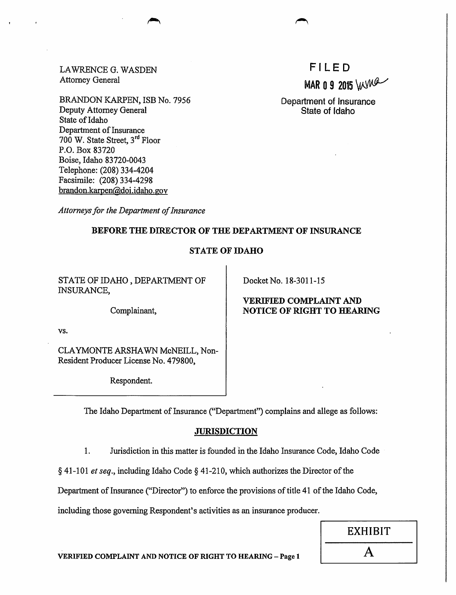LAWRENCE G. WASDEN Attorney General

BRANDON KARPEN, ISB No. 7956 Deputy Attorney General State of Idaho Department of Insurance 700 W. State Street, 3rd Floor P.O. Box 83720 Boise, Idaho 83720-0043 Telephone: (208) 334-4204 Facsimile: (208) 334-4298 brandon.karpen@doi.idaho.gov

FI LED MAR 0 9 2015 WWW

Department of Insurance State of Idaho

*Attorneys for the Department of Insurance* 

## BEFORE THE DIRECTOR OF THE DEPARTMENT OF INSURANCE

## STATE OF IDAHO

STATE OF IDAHO, DEPARTMENT OF INSURANCE,

Complainant,

vs.

CLA YMONTE ARSHA WN McNEILL, Non-Resident Producer License No. 479800,

Respondent.

Docket No. 18-3011-15

## VERIFIED COMPLAINT AND NOTICE OF RIGHT TO HEARING

The Idaho Department of Insurance ("Department") complains and allege as follows:

#### **JURISDICTION**

1. Jurisdiction in this matter is founded 'in the Idaho Insurance Code, Idaho Code

§ 41-101 *et seq.,* including Idaho Code§ 41-210, which authorizes the Director of the

Department of Insurance ("Director") to enforce the provisions of title 41 of the Idaho Code,

including those governing Respondent's activities as an insurance producer.

| <b>EXHIBIT</b>            |  |
|---------------------------|--|
| $\boldsymbol{\mathsf{A}}$ |  |

VERIFIED COMPLAINT AND NOTICE OF RIGHT TO HEARING - Page 1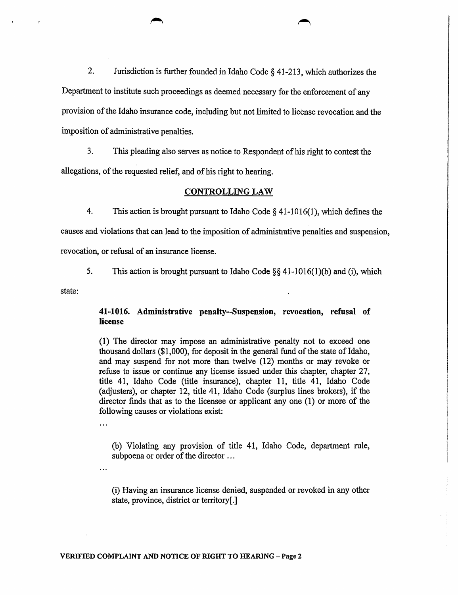2. Jurisdiction is further founded in Idaho Code § 41-213, which authorizes the Department to institute such proceedings as deemed necessary for the enforcement of any provision of the Idaho insurance code, including but not limited to license revocation and the imposition of administrative penalties.

3. This pleading also serves as notice to Respondent of his right to contest the allegations, of the requested relief, and of his right to hearing.

## CONTROLLING LAW

4. This action is brought pursuant to Idaho Code§ 41-1016(1), which defines the

causes and violations that can lead to the imposition of administrative penalties and suspension,

revocation, or refusal of an insurance license.

5. This action is brought pursuant to Idaho Code  $\S$ § 41-1016(1)(b) and (i), which

state:

## 41-1016. Administrative penalty--Suspension, revocation, refusal of license

(1) The director may impose an administrative penalty not to exceed one thousand dollars (\$1,000), for deposit in the general fund of the state of Idaho, and may suspend for not more than twelve (12) months or may revoke or refuse to issue or continue any license issued under this chapter, chapter 27, title 41, Idaho Code (title insurance), chapter 11, title 41, Idaho Code (adjusters), or chapter 12, title 41, Idaho Code (surplus lines brokers), if the director finds that as to the licensee or applicant any one (1) or more of the following causes or violations exist:

 $\ddotsc$ 

 $\ddotsc$ 

(b) Violating any provision of title 41, Idaho Code, department rule, subpoena or order of the director ...

(i) Having an insurance license denied, suspended or revoked in any other state, province, district or territory[.]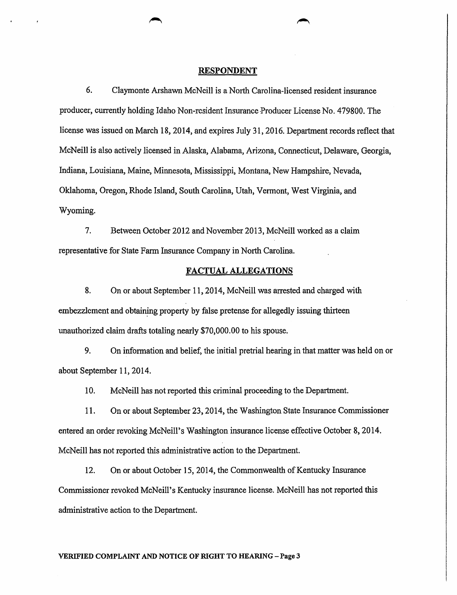#### RESPONDENT

6. Claymonte Arshawn McNeill is a North Carolina-licensed resident insurance producer, currently holding Idaho Non-resident Insurance-Producer License No. 479800. The license was issued on March 18, 2014, and expires July 31, 2016. Department records reflect that McNeill is also actively licensed in Alaska, Alabama, Arizona, Connecticut, Delaware, Georgia, Indiana, Louisiana, Maine, Minnesota, Mississippi, Montana, New Hampshire, Nevada, Oklahoma, Oregon, Rhode Island, South Carolina, Utah, Vermont, West Virginia, and Wyoming.

7. Between October 2012 and November 2013, McNeill worked as a claim representative for State Fann Insurance Company in North Carolina.

#### FACTUAL ALLEGATIONS

8. On or about September 11, 2014, McNeill was arrested and charged with embezzlement and obtaining property by false pretense for allegedly issuing thirteen unauthorized claim drafts totaling nearly \$70,000.00 to his spouse.

9. On information and belief, the initial pretrial hearing in that matter was held on or about September 11, 2014.

10. McNeill has not reported this criminal proceeding to the Department.

11. On or about September 23, 2014, the Washington State Insurance Commissioner entered an order revoking McNeill's Washington insurance license effective October 8, 2014. McNeill has not reported this administrative action to the Department.

12. On or about October 15, 2014, the Commonwealth of Kentucky Insurance Commissioner revoked McNeill's Kentucky insurance license. McNeill has not reported this administrative action to the Department.

#### VERIFIED COMPLAINT AND NOTICE OF RIGHT TO HEARING - Page 3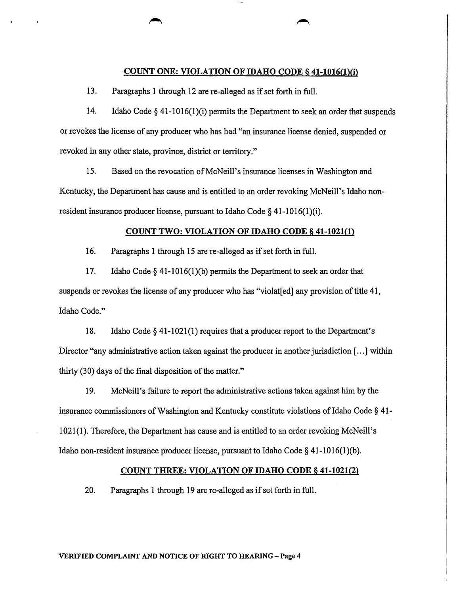#### ·COUNT ONE: VIOLATION OF IDAHO CODE§ 41-1016(1)(i)

13. Paragraphs 1 through 12 are re-alleged as if set forth in full.

14. Idaho Code§ 41-1016(1)(i) permits the Department to seek an order that suspends or revokes the license of any producer who has had "an insurance license denied, suspended or revoked in any other state, province, district or territory."

15. Based on the revocation of McNeill's insurance licenses in Washington and Kentucky, the Department has cause and is entitled to an order revoking McNeill's Idaho nonresident insurance producer license, pursuant to Idaho Code  $\S$  41-1016(1)(i).

#### COUNT TWO: VIOLATION OF IDAHO CODE § 41-1021(1)

16. Paragraphs 1 through 15 are re-alleged as if set forth in full.

17. Idaho Code § 41-1016(1)(b) permits the Department to seek an order that suspends or revokes the license of any producer who has "violated" any provision of title 41, Idaho Code."

18. Idaho Code § 41-1021(1) requires that a producer report to the Department's Director "any administrative action taken against the producer in another jurisdiction [...] within thirty (30) days of the final disposition of the matter."

19. McNeill's failure to report the administrative actions taken against him by the insurance commissioners of Washington and Kentucky constitute violations of Idaho Code § 41- 1021(1). Therefore, the Department has cause and is entitled to an order revoking McNeill's Idaho non-resident insurance producer license, pursuant to Idaho Code§ 41-1016(1)(b).

#### COUNT THREE: VIOLATION OF IDAHO CODE§ 41-1021(2)

20. Paragraphs 1 through 19 arc re-alleged as if set forth in full.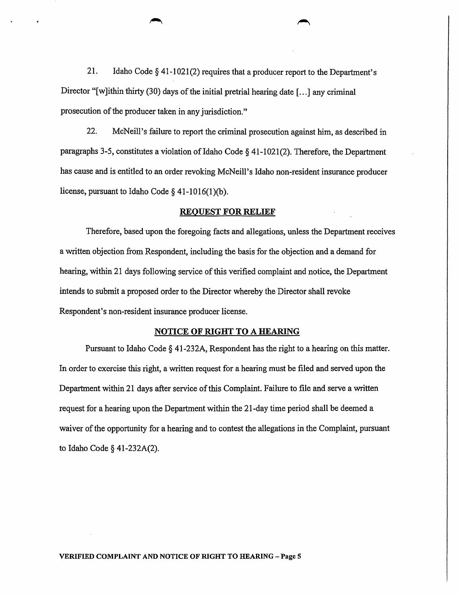21. Idaho Code  $\S$  41-1021(2) requires that a producer report to the Department's Director "[w]ithin thirty (30) days of the initial pretrial hearing date [...] any criminal prosecution of the producer taken in any jurisdiction."

22. McNeill's failure to report the criminal prosecution against him, as described in paragraphs 3-5, constitutes a violation of Idaho Code  $\S$  41-1021(2). Therefore, the Department has cause and is entitled to an order revoking McNeill's Idaho non-resident insurance producer license, pursuant to Idaho Code  $\S$  41-1016(1)(b).

#### REQUEST FOR RELIEF

Therefore, based upon the foregoing facts and allegations, unless the Department receives a written objection from Respondent, including the basis for the objection and a demand for hearing, within 21 days following service of this verified complaint and notice, the Department intends to submit a proposed order to the Director whereby the Director shall revoke Respondent's non-resident insurance producer license.

#### NOTICE OF RIGHT TO A HEARING

Pursuant to Idaho Code § 41-232A, Respondent has the right to a hearing on this matter. In order to exercise this right, a written request for a hearing must be filed and served upon the Department within 21 days after service of this Complaint. Failure to file and serve a written request for a hearing upon the Department within the 21-day time period shall be deemed a waiver of the opportunity for a hearing and to contest the allegations in the Complaint, pursuant to Idaho Code § 41-232A(2).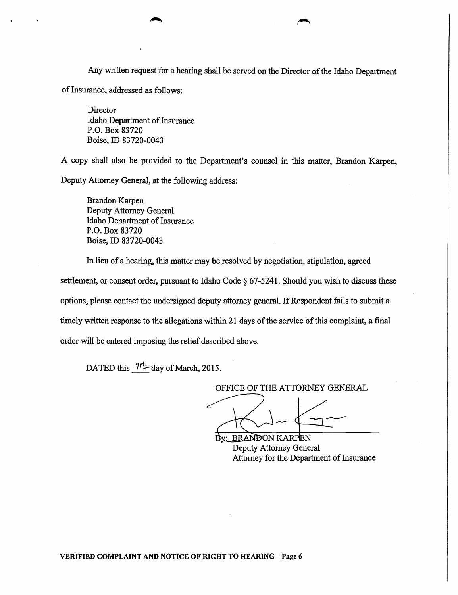Any written request for a hearing shall be served on the Director of the Idaho Department of Insurance, addressed as follows:

Director Idaho Department of Insurance P.O. Box 83720 Boise, ID 83720-0043

A copy shall also be provided to the Department's counsel in this matter, Brandon Karpen, Deputy Attorney General, at the following address:

Brandon Karpen Deputy Attorney General Idaho Department of Insurance P.O. Box 83720 Boise, ID 83720-0043

In lieu of a hearing, this matter may be resolved by negotiation, stipulation, agreed

settlement, or consent order, pursuant to Idaho Code § 67-5241. Should you wish to discuss these

options, please contact the undersigned deputy attorney general. If Respondent fails to submit a

timely written response to the allegations within 21 days of the service of this complaint, a final

order will be entered imposing the relief described above.

DATED this  $7r^2$  day of March, 2015.

OFFICE OF THE ATTORNEY GENERAL

**BRANDON KARPEN** Deputy Attorney General Attorney for the Department of Insurance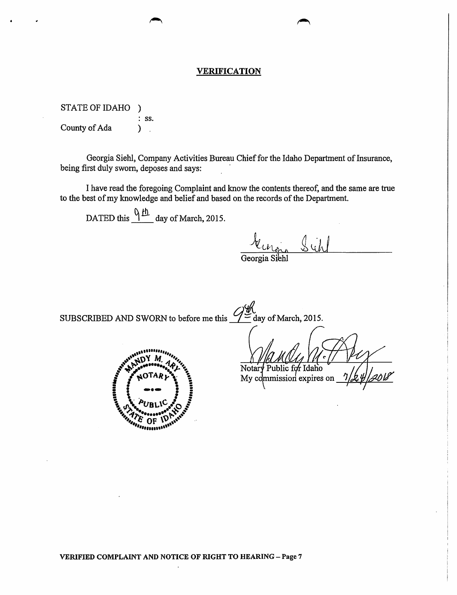## VERIFICATION

STATEOFIDAHO ) : SS. County of Ada (b)

Georgia Siehl, Company Activities Bureau Chief for the Idaho Department of Insurance, being first duly sworn, deposes and says:

I have read the foregoing Complaint and know the contents thereof, and the same are true to the best of my knowledge and belief and based on the records of the Department.

DATED this  $\frac{Q \mu h}{L}$  day of March, 2015.

~ll-~ *b* ~JJ

Georgia Siehl

SUBSCRIBED AND SWORN to before me this  $\frac{Q}{Z}$  day of March, 2015.



Notary Public for Idaho My commission expires on

VERIFIED COMPLAINT AND NOTICE OF RIGHT TO HEARING - Page 7